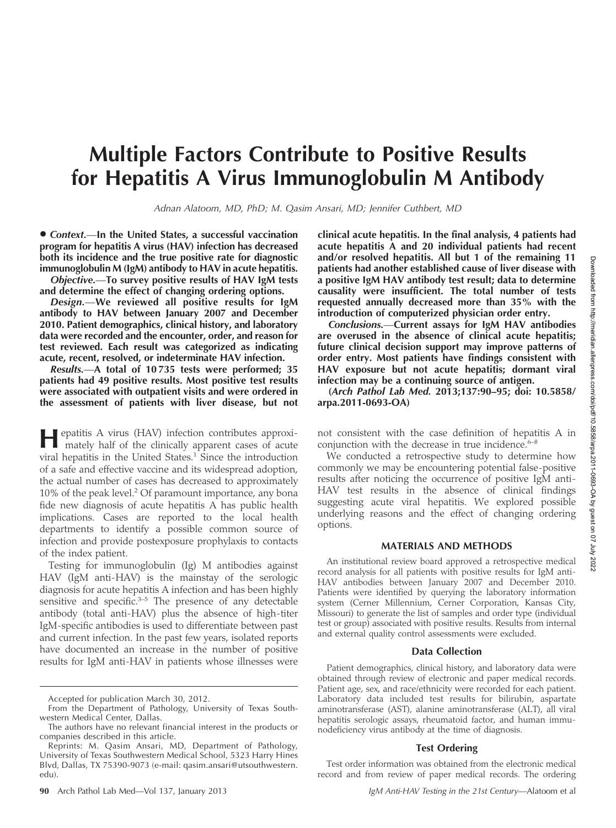# Multiple Factors Contribute to Positive Results for Hepatitis A Virus Immunoglobulin M Antibody

Adnan Alatoom, MD, PhD; M. Qasim Ansari, MD; Jennifer Cuthbert, MD

 $\bullet$  Context.—In the United States, a successful vaccination program for hepatitis A virus (HAV) infection has decreased both its incidence and the true positive rate for diagnostic immunoglobulin M (IgM) antibody to HAV in acute hepatitis.

Objective.—To survey positive results of HAV IgM tests and determine the effect of changing ordering options.

Design.—We reviewed all positive results for IgM antibody to HAV between January 2007 and December 2010. Patient demographics, clinical history, and laboratory data were recorded and the encounter, order, and reason for test reviewed. Each result was categorized as indicating acute, recent, resolved, or indeterminate HAV infection.

Results.—A total of 10 735 tests were performed; 35 patients had 49 positive results. Most positive test results were associated with outpatient visits and were ordered in the assessment of patients with liver disease, but not

Hepatitis A virus (HAV) infection contributes approxi-mately half of the clinically apparent cases of acute viral hepatitis in the United States. $1$  Since the introduction of a safe and effective vaccine and its widespread adoption, the actual number of cases has decreased to approximately 10% of the peak level.<sup>2</sup> Of paramount importance, any bona fide new diagnosis of acute hepatitis A has public health implications. Cases are reported to the local health departments to identify a possible common source of infection and provide postexposure prophylaxis to contacts of the index patient.

Testing for immunoglobulin (Ig) M antibodies against HAV (IgM anti-HAV) is the mainstay of the serologic diagnosis for acute hepatitis A infection and has been highly sensitive and specific.<sup>3-5</sup> The presence of any detectable antibody (total anti-HAV) plus the absence of high-titer IgM-specific antibodies is used to differentiate between past and current infection. In the past few years, isolated reports have documented an increase in the number of positive results for IgM anti-HAV in patients whose illnesses were

clinical acute hepatitis. In the final analysis, 4 patients had acute hepatitis A and 20 individual patients had recent and/or resolved hepatitis. All but 1 of the remaining 11 patients had another established cause of liver disease with a positive IgM HAV antibody test result; data to determine causality were insufficient. The total number of tests requested annually decreased more than 35% with the introduction of computerized physician order entry.

Conclusions.—Current assays for IgM HAV antibodies are overused in the absence of clinical acute hepatitis; future clinical decision support may improve patterns of order entry. Most patients have findings consistent with HAV exposure but not acute hepatitis; dormant viral infection may be a continuing source of antigen.

(Arch Pathol Lab Med. 2013;137:90–95; doi: 10.5858/ arpa.2011-0693-OA)

not consistent with the case definition of hepatitis A in conjunction with the decrease in true incidence. $6-8$ 

We conducted a retrospective study to determine how commonly we may be encountering potential false-positive results after noticing the occurrence of positive IgM anti-HAV test results in the absence of clinical findings suggesting acute viral hepatitis. We explored possible underlying reasons and the effect of changing ordering options.

### MATERIALS AND METHODS

An institutional review board approved a retrospective medical record analysis for all patients with positive results for IgM anti-HAV antibodies between January 2007 and December 2010. Patients were identified by querying the laboratory information system (Cerner Millennium, Cerner Corporation, Kansas City, Missouri) to generate the list of samples and order type (individual test or group) associated with positive results. Results from internal and external quality control assessments were excluded.

#### Data Collection

Patient demographics, clinical history, and laboratory data were obtained through review of electronic and paper medical records. Patient age, sex, and race/ethnicity were recorded for each patient. Laboratory data included test results for bilirubin, aspartate aminotransferase (AST), alanine aminotransferase (ALT), all viral hepatitis serologic assays, rheumatoid factor, and human immunodeficiency virus antibody at the time of diagnosis.

### Test Ordering

Test order information was obtained from the electronic medical record and from review of paper medical records. The ordering

Accepted for publication March 30, 2012.

From the Department of Pathology, University of Texas Southwestern Medical Center, Dallas.

The authors have no relevant financial interest in the products or companies described in this article.

Reprints: M. Qasim Ansari, MD, Department of Pathology, University of Texas Southwestern Medical School, 5323 Harry Hines Blvd, Dallas, TX 75390-9073 (e-mail: qasim.ansari@utsouthwestern. edu).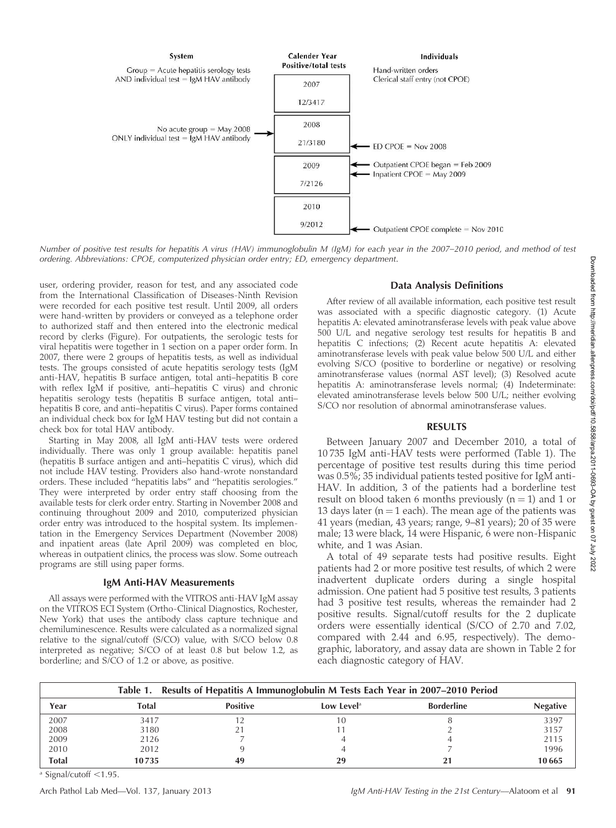

Number of positive test results for hepatitis A virus (HAV) immunoglobulin M (IgM) for each year in the 2007–2010 period, and method of test ordering. Abbreviations: CPOE, computerized physician order entry; ED, emergency department.

user, ordering provider, reason for test, and any associated code from the International Classification of Diseases-Ninth Revision were recorded for each positive test result. Until 2009, all orders were hand-written by providers or conveyed as a telephone order to authorized staff and then entered into the electronic medical record by clerks (Figure). For outpatients, the serologic tests for viral hepatitis were together in 1 section on a paper order form. In 2007, there were 2 groups of hepatitis tests, as well as individual tests. The groups consisted of acute hepatitis serology tests (IgM anti-HAV, hepatitis B surface antigen, total anti–hepatitis B core with reflex IgM if positive, anti–hepatitis C virus) and chronic hepatitis serology tests (hepatitis B surface antigen, total anti– hepatitis B core, and anti–hepatitis C virus). Paper forms contained an individual check box for IgM HAV testing but did not contain a check box for total HAV antibody.

Starting in May 2008, all IgM anti-HAV tests were ordered individually. There was only 1 group available: hepatitis panel (hepatitis B surface antigen and anti–hepatitis C virus), which did not include HAV testing. Providers also hand-wrote nonstandard orders. These included ''hepatitis labs'' and ''hepatitis serologies.'' They were interpreted by order entry staff choosing from the available tests for clerk order entry. Starting in November 2008 and continuing throughout 2009 and 2010, computerized physician order entry was introduced to the hospital system. Its implementation in the Emergency Services Department (November 2008) and inpatient areas (late April 2009) was completed en bloc, whereas in outpatient clinics, the process was slow. Some outreach programs are still using paper forms.

#### IgM Anti-HAV Measurements

All assays were performed with the VITROS anti-HAV IgM assay on the VITROS ECI System (Ortho-Clinical Diagnostics, Rochester, New York) that uses the antibody class capture technique and chemiluminescence. Results were calculated as a normalized signal relative to the signal/cutoff (S/CO) value, with S/CO below 0.8 interpreted as negative; S/CO of at least 0.8 but below 1.2, as borderline; and S/CO of 1.2 or above, as positive.

# Data Analysis Definitions

After review of all available information, each positive test result was associated with a specific diagnostic category. (1) Acute hepatitis A: elevated aminotransferase levels with peak value above 500 U/L and negative serology test results for hepatitis B and hepatitis C infections; (2) Recent acute hepatitis A: elevated aminotransferase levels with peak value below 500 U/L and either evolving S/CO (positive to borderline or negative) or resolving aminotransferase values (normal AST level); (3) Resolved acute hepatitis A: aminotransferase levels normal; (4) Indeterminate: elevated aminotransferase levels below 500 U/L; neither evolving S/CO nor resolution of abnormal aminotransferase values.

#### RESULTS

Between January 2007 and December 2010, a total of 10 735 IgM anti-HAV tests were performed (Table 1). The percentage of positive test results during this time period was 0.5%; 35 individual patients tested positive for IgM anti-HAV. In addition, 3 of the patients had a borderline test result on blood taken 6 months previously  $(n = 1)$  and 1 or 13 days later ( $n = 1$  each). The mean age of the patients was 41 years (median, 43 years; range, 9–81 years); 20 of 35 were male; 13 were black, 14 were Hispanic, 6 were non-Hispanic white, and 1 was Asian.

A total of 49 separate tests had positive results. Eight patients had 2 or more positive test results, of which 2 were inadvertent duplicate orders during a single hospital admission. One patient had 5 positive test results, 3 patients had 3 positive test results, whereas the remainder had 2 positive results. Signal/cutoff results for the 2 duplicate orders were essentially identical (S/CO of 2.70 and 7.02, compared with 2.44 and 6.95, respectively). The demographic, laboratory, and assay data are shown in Table 2 for each diagnostic category of HAV.

| Table 1. Results of Hepatitis A Immunoglobulin M Tests Each Year in 2007–2010 Period |              |                 |                        |                   |                 |  |
|--------------------------------------------------------------------------------------|--------------|-----------------|------------------------|-------------------|-----------------|--|
| Year                                                                                 | <b>Total</b> | <b>Positive</b> | Low Level <sup>a</sup> | <b>Borderline</b> | <b>Negative</b> |  |
| 2007                                                                                 | 3417         |                 | 10                     |                   | 3397            |  |
| 2008                                                                                 | 3180         |                 |                        |                   | 3157            |  |
| 2009                                                                                 | 2126         |                 |                        |                   | 2115            |  |
| 2010                                                                                 | 2012         |                 |                        |                   | 1996            |  |
| <b>Total</b>                                                                         | 10735        | 49              | 29                     |                   | 10665           |  |

 $a$  Signal/cutoff  $<$ 1.95.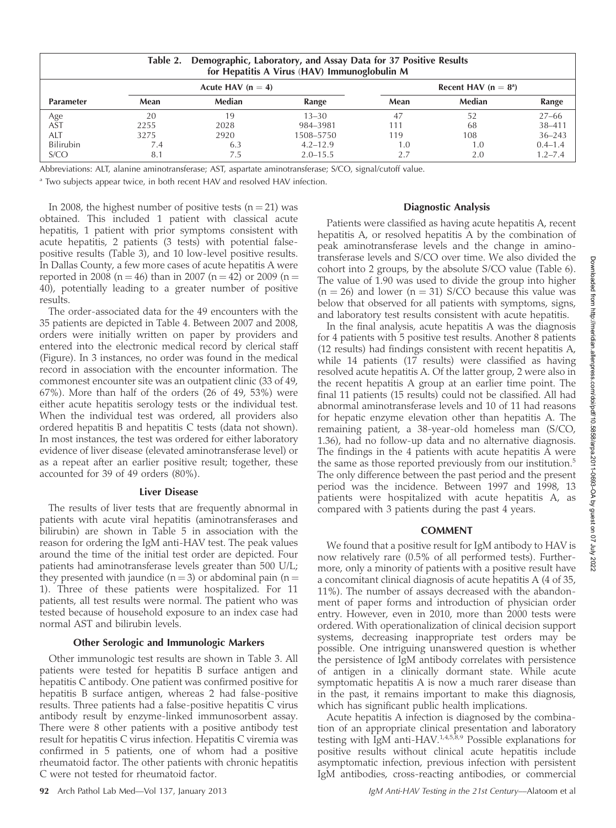| Demographic, Laboratory, and Assay Data for 37 Positive Results<br>Table 2.<br>for Hepatitis A Virus (HAV) Immunoglobulin M |                     |        |              |                        |        |             |
|-----------------------------------------------------------------------------------------------------------------------------|---------------------|--------|--------------|------------------------|--------|-------------|
|                                                                                                                             | Acute HAV $(n = 4)$ |        |              | Recent HAV $(n = 8^a)$ |        |             |
| <b>Parameter</b>                                                                                                            | Mean                | Median | Range        | Mean                   | Median | Range       |
|                                                                                                                             | 20                  | 19     | $13 - 30$    | 47                     | 52     | $27 - 66$   |
| Age<br>AST                                                                                                                  | 2255                | 2028   | 984-3981     | 111                    | 68     | 38-411      |
| ALT                                                                                                                         | 3275                | 2920   | 1508–5750    | 119                    | 108    | $36 - 243$  |
| Bilirubin                                                                                                                   | 7.4                 | 6.3    | $4.2 - 12.9$ | 1.0                    | 1.0    | $0.4 - 1.4$ |
| S/CO                                                                                                                        | 8.1                 |        | $2.0 - 15.5$ | 2.7                    |        | $1.2 - 7.4$ |

Abbreviations: ALT, alanine aminotransferase; AST, aspartate aminotransferase; S/CO, signal/cutoff value.

<sup>a</sup> Two subjects appear twice, in both recent HAV and resolved HAV infection.

In 2008, the highest number of positive tests  $(n = 21)$  was obtained. This included 1 patient with classical acute hepatitis, 1 patient with prior symptoms consistent with acute hepatitis, 2 patients (3 tests) with potential falsepositive results (Table 3), and 10 low-level positive results. In Dallas County, a few more cases of acute hepatitis A were reported in 2008 (n = 46) than in 2007 (n = 42) or 2009 (n = 40), potentially leading to a greater number of positive results.

The order-associated data for the 49 encounters with the 35 patients are depicted in Table 4. Between 2007 and 2008, orders were initially written on paper by providers and entered into the electronic medical record by clerical staff (Figure). In 3 instances, no order was found in the medical record in association with the encounter information. The commonest encounter site was an outpatient clinic (33 of 49, 67%). More than half of the orders (26 of 49, 53%) were either acute hepatitis serology tests or the individual test. When the individual test was ordered, all providers also ordered hepatitis B and hepatitis C tests (data not shown). In most instances, the test was ordered for either laboratory evidence of liver disease (elevated aminotransferase level) or as a repeat after an earlier positive result; together, these accounted for 39 of 49 orders (80%).

### Liver Disease

The results of liver tests that are frequently abnormal in patients with acute viral hepatitis (aminotransferases and bilirubin) are shown in Table 5 in association with the reason for ordering the IgM anti-HAV test. The peak values around the time of the initial test order are depicted. Four patients had aminotransferase levels greater than 500 U/L; they presented with jaundice ( $n = 3$ ) or abdominal pain ( $n =$ 1). Three of these patients were hospitalized. For 11 patients, all test results were normal. The patient who was tested because of household exposure to an index case had normal AST and bilirubin levels.

#### Other Serologic and Immunologic Markers

Other immunologic test results are shown in Table 3. All patients were tested for hepatitis B surface antigen and hepatitis C antibody. One patient was confirmed positive for hepatitis B surface antigen, whereas 2 had false-positive results. Three patients had a false-positive hepatitis C virus antibody result by enzyme-linked immunosorbent assay. There were 8 other patients with a positive antibody test result for hepatitis C virus infection. Hepatitis C viremia was confirmed in 5 patients, one of whom had a positive rheumatoid factor. The other patients with chronic hepatitis C were not tested for rheumatoid factor.

## Diagnostic Analysis

Patients were classified as having acute hepatitis A, recent hepatitis A, or resolved hepatitis A by the combination of peak aminotransferase levels and the change in aminotransferase levels and S/CO over time. We also divided the cohort into 2 groups, by the absolute S/CO value (Table 6). The value of 1.90 was used to divide the group into higher  $(n = 26)$  and lower  $(n = 31)$  S/CO because this value was below that observed for all patients with symptoms, signs, and laboratory test results consistent with acute hepatitis.

In the final analysis, acute hepatitis A was the diagnosis for 4 patients with 5 positive test results. Another 8 patients (12 results) had findings consistent with recent hepatitis A, while 14 patients (17 results) were classified as having resolved acute hepatitis A. Of the latter group, 2 were also in the recent hepatitis A group at an earlier time point. The final 11 patients (15 results) could not be classified. All had abnormal aminotransferase levels and 10 of 11 had reasons for hepatic enzyme elevation other than hepatitis A. The remaining patient, a 38-year-old homeless man (S/CO, 1.36), had no follow-up data and no alternative diagnosis. The findings in the 4 patients with acute hepatitis A were the same as those reported previously from our institution.<sup>5</sup> The only difference between the past period and the present period was the incidence. Between 1997 and 1998, 13 patients were hospitalized with acute hepatitis A, as compared with 3 patients during the past 4 years.

#### COMMENT

We found that a positive result for IgM antibody to HAV is now relatively rare (0.5% of all performed tests). Furthermore, only a minority of patients with a positive result have a concomitant clinical diagnosis of acute hepatitis A (4 of 35, 11%). The number of assays decreased with the abandonment of paper forms and introduction of physician order entry. However, even in 2010, more than 2000 tests were ordered. With operationalization of clinical decision support systems, decreasing inappropriate test orders may be possible. One intriguing unanswered question is whether the persistence of IgM antibody correlates with persistence of antigen in a clinically dormant state. While acute symptomatic hepatitis A is now a much rarer disease than in the past, it remains important to make this diagnosis, which has significant public health implications.

Acute hepatitis A infection is diagnosed by the combination of an appropriate clinical presentation and laboratory testing with  $\bar{I}$ gM anti-HAV.<sup>1,4,5,8,9</sup> Possible explanations for positive results without clinical acute hepatitis include asymptomatic infection, previous infection with persistent IgM antibodies, cross-reacting antibodies, or commercial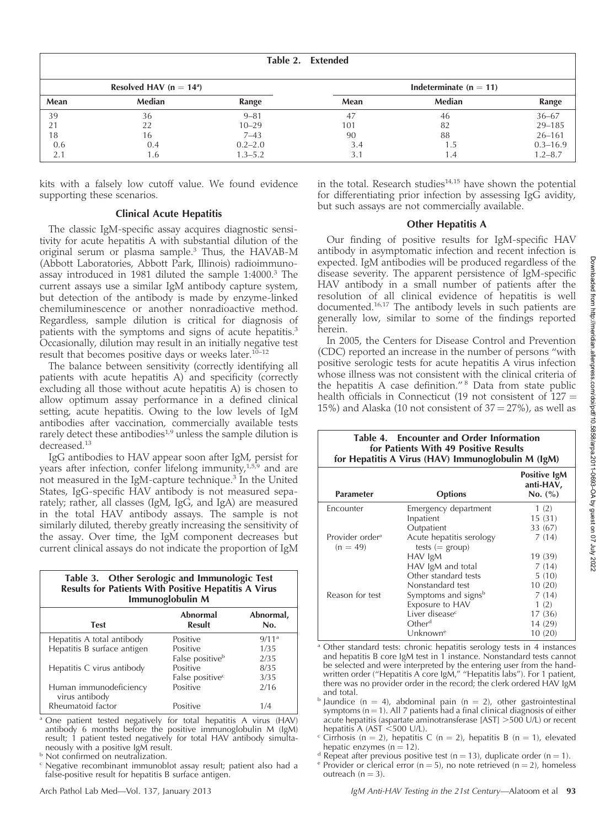| Table 2. Extended |                            |             |      |                          |              |
|-------------------|----------------------------|-------------|------|--------------------------|--------------|
|                   | Resolved HAV ( $n = 14a$ ) |             |      | Indeterminate $(n = 11)$ |              |
| Mean              | Median                     | Range       | Mean | Median                   | Range        |
| 39                | 36                         | $9 - 81$    | 47   | 46                       | $36 - 67$    |
|                   | 22                         | $10 - 29$   | 101  | 82                       | $29 - 185$   |
| 18                | 16                         | $7 - 43$    | 90   | 88                       | $26 - 161$   |
| 0.6               | 0.4                        | $0.2 - 2.0$ | 3.4  | د. ا                     | $0.3 - 16.9$ |
| 2.1               | l .6                       | $1.3 - 5.2$ | 3.1  | 4. ا                     | $1.2 - 8.7$  |

kits with a falsely low cutoff value. We found evidence supporting these scenarios.

# Clinical Acute Hepatitis

The classic IgM-specific assay acquires diagnostic sensitivity for acute hepatitis A with substantial dilution of the original serum or plasma sample.3 Thus, the HAVAB-M (Abbott Laboratories, Abbott Park, Illinois) radioimmunoassay introduced in 1981 diluted the sample 1:4000.<sup>3</sup> The current assays use a similar IgM antibody capture system, but detection of the antibody is made by enzyme-linked chemiluminescence or another nonradioactive method. Regardless, sample dilution is critical for diagnosis of patients with the symptoms and signs of acute hepatitis.<sup>3</sup> Occasionally, dilution may result in an initially negative test result that becomes positive days or weeks later.<sup>10-12</sup>

The balance between sensitivity (correctly identifying all patients with acute hepatitis A) and specificity (correctly excluding all those without acute hepatitis A) is chosen to allow optimum assay performance in a defined clinical setting, acute hepatitis. Owing to the low levels of IgM antibodies after vaccination, commercially available tests rarely detect these antibodies<sup>1,9</sup> unless the sample dilution is decreased.<sup>13</sup>

IgG antibodies to HAV appear soon after IgM, persist for years after infection, confer lifelong immunity, $1,5,9$  and are not measured in the IgM-capture technique.<sup>3</sup> In the United States, IgG-specific HAV antibody is not measured separately; rather, all classes (IgM, IgG, and IgA) are measured in the total HAV antibody assays. The sample is not similarly diluted, thereby greatly increasing the sensitivity of the assay. Over time, the IgM component decreases but current clinical assays do not indicate the proportion of IgM

| Table 3. Other Serologic and Immunologic Test<br><b>Results for Patients With Positive Hepatitis A Virus</b><br>Immunoglobulin M |                             |                   |  |  |  |
|----------------------------------------------------------------------------------------------------------------------------------|-----------------------------|-------------------|--|--|--|
| Abnormal<br>Abnormal,<br>Result<br><b>Test</b><br>No.                                                                            |                             |                   |  |  |  |
| Hepatitis A total antibody                                                                                                       | Positive                    | 9/11 <sup>a</sup> |  |  |  |
| Hepatitis B surface antigen                                                                                                      | Positive                    | 1/35              |  |  |  |
|                                                                                                                                  | False positive <sup>b</sup> | 2/35              |  |  |  |
| Hepatitis C virus antibody                                                                                                       | Positive                    | 8/35              |  |  |  |
|                                                                                                                                  | False positive <sup>c</sup> | 3/35              |  |  |  |
| Human immunodeficiency<br>virus antibody                                                                                         | Positive                    | 2/16              |  |  |  |
| Rheumatoid factor                                                                                                                | Positive                    | 1/4               |  |  |  |

<sup>a</sup> One patient tested negatively for total hepatitis A virus (HAV) antibody 6 months before the positive immunoglobulin M (IgM) result; 1 patient tested negatively for total HAV antibody simultaneously with a positive IgM result.

**b** Not confirmed on neutralization.

<sup>c</sup> Negative recombinant immunoblot assay result; patient also had a false-positive result for hepatitis B surface antigen.

in the total. Research studies $14,15$  have shown the potential for differentiating prior infection by assessing Ig $\vec{G}$  avidity, but such assays are not commercially available.

## Other Hepatitis A

Our finding of positive results for IgM-specific HAV antibody in asymptomatic infection and recent infection is expected. IgM antibodies will be produced regardless of the disease severity. The apparent persistence of IgM-specific HAV antibody in a small number of patients after the resolution of all clinical evidence of hepatitis is well documented.16,17 The antibody levels in such patients are generally low, similar to some of the findings reported herein.

In 2005, the Centers for Disease Control and Prevention (CDC) reported an increase in the number of persons ''with positive serologic tests for acute hepatitis A virus infection whose illness was not consistent with the clinical criteria of the hepatitis A case definition."<sup>8</sup> Data from state public health officials in Connecticut (19 not consistent of  $127 =$ 15%) and Alaska (10 not consistent of  $37 = 27$ %), as well as

> Table 4. Encounter and Order Information for Patients With 49 Positive Results

#### for Hepatitis A Virus (HAV) Immunoglobulin M (IgM) Parameter **Options** Positive IgM anti-HAV, No. (%) Encounter Emergency department 1 (2)<br>Inpatient 15 (31) Inpatient Outpatient 33 (67) Provider ordera  $(n = 49)$ Acute hepatitis serology tests  $(=$  group)<br>HAV  $\lg M$ 7 (14)  $\frac{19}{7} \frac{(39)}{(14)}$ HAV IgM and total 7 (14)<br>Other standard tests 5 (10) Other standard tests 5 (10)<br>Nonstandard test 10 (20) Nonstandard test 10 (20)<br>Symptoms and signs<sup>b</sup> 7 (14) Reason for test Symptoms and signs<sup>b</sup> 7 (14<br>Exposure to HAV 1 (2) Exposure to HAV Liver disease<sup>c</sup> 17 (36)<br>Other<sup>d</sup> 14 (29) 14 (29)<br>10 (20)  $U$ nknown<sup>e</sup>

Other standard tests: chronic hepatitis serology tests in 4 instances and hepatitis B core IgM test in 1 instance. Nonstandard tests cannot be selected and were interpreted by the entering user from the handwritten order ("Hepatitis A core IgM," "Hepatitis labs"). For 1 patient, there was no provider order in the record; the clerk ordered HAV IgM and total.

- <sup>b</sup> Jaundice (n = 4), abdominal pain (n = 2), other gastrointestinal symptoms (n  $=$  1). All 7 patients had a final clinical diagnosis of either acute hepatitis (aspartate aminotransferase  $[AST] > 500$  U/L) or recent
- hepatitis A (AST  $\leq$ 500 U/L).<br>Cirrhosis (n = 2), hepatitis C (n = 2), hepatitis B (n = 1), elevated hepatic enzymes (n = 12).
- <sup>d</sup> Repeat after previous positive test (n = 13), duplicate order (n = 1). e Provider or clerical error (n = 5), no note retrieved (n = 2), homeless

outreach  $(n = 3)$ .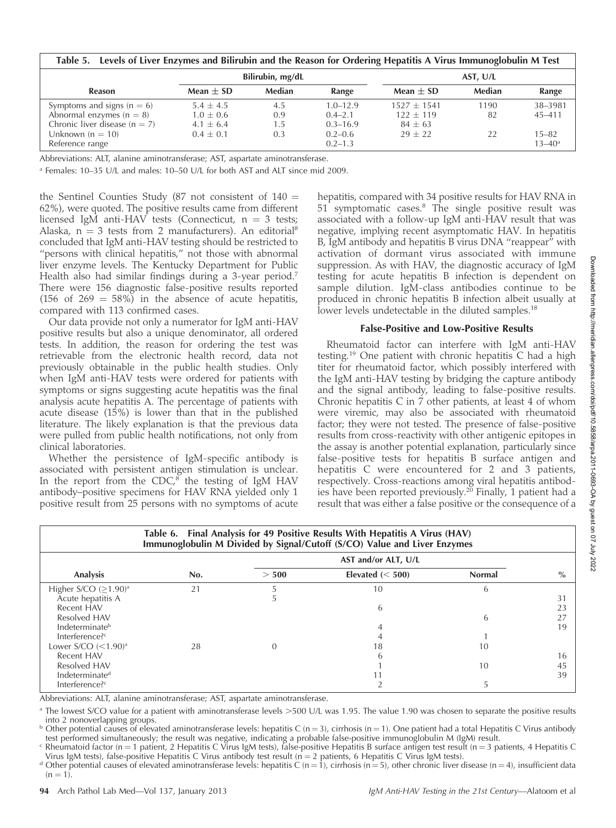| Table 5. Levels of Liver Enzymes and Bilirubin and the Reason for Ordering Hepatitis A Virus Immunoglobulin M Test |                  |        |              |               |        |                   |  |
|--------------------------------------------------------------------------------------------------------------------|------------------|--------|--------------|---------------|--------|-------------------|--|
|                                                                                                                    | Bilirubin, mg/dL |        | AST. U/L     |               |        |                   |  |
| <b>Reason</b>                                                                                                      | Mean $\pm$ SD    | Median | Range        | Mean $\pm$ SD | Median | Range             |  |
| Symptoms and signs ( $n = 6$ )                                                                                     | $5.4 + 4.5$      | 4.5    | $1.0 - 12.9$ | $1527 + 1541$ | 1190   | 38-3981           |  |
| Abnormal enzymes $(n = 8)$                                                                                         | $1.0 \pm 0.6$    | 0.9    | $0.4 - 2.1$  | $122 + 119$   | 82     | $45 - 411$        |  |
| Chronic liver disease $(n = 7)$                                                                                    | $4.1 + 6.4$      | 1.5    | $0.3 - 16.9$ | $84 + 63$     |        |                   |  |
| Unknown $(n = 10)$                                                                                                 | $0.4 + 0.1$      | 0.3    | $0.2 - 0.6$  | $29 + 22$     | 22     | $15 - 82$         |  |
| Reference range                                                                                                    |                  |        | $0.2 - 1.3$  |               |        | $13 - 40^{\circ}$ |  |

Abbreviations: ALT, alanine aminotransferase; AST, aspartate aminotransferase.

<sup>a</sup> Females: 10–35 U/L and males: 10–50 U/L for both AST and ALT since mid 2009.

the Sentinel Counties Study (87 not consistent of  $140 =$ 62%), were quoted. The positive results came from different licensed IgM anti-HAV tests (Connecticut,  $n = 3$  tests; Alaska,  $n = 3$  tests from 2 manufacturers). An editorial<sup>8</sup> concluded that IgM anti-HAV testing should be restricted to "persons with clinical hepatitis," not those with abnormal liver enzyme levels. The Kentucky Department for Public Health also had similar findings during a 3-year period.<sup>7</sup> There were 156 diagnostic false-positive results reported (156 of  $269 = 58\%$ ) in the absence of acute hepatitis, compared with 113 confirmed cases.

Our data provide not only a numerator for IgM anti-HAV positive results but also a unique denominator, all ordered tests. In addition, the reason for ordering the test was retrievable from the electronic health record, data not previously obtainable in the public health studies. Only when IgM anti-HAV tests were ordered for patients with symptoms or signs suggesting acute hepatitis was the final analysis acute hepatitis A. The percentage of patients with acute disease (15%) is lower than that in the published literature. The likely explanation is that the previous data were pulled from public health notifications, not only from clinical laboratories.

Whether the persistence of IgM-specific antibody is associated with persistent antigen stimulation is unclear. In the report from the  $\text{CDC},^8$  the testing of IgM HAV antibody–positive specimens for HAV RNA yielded only 1 positive result from 25 persons with no symptoms of acute hepatitis, compared with 34 positive results for HAV RNA in 51 symptomatic cases.<sup>8</sup> The single positive result was associated with a follow-up IgM anti-HAV result that was negative, implying recent asymptomatic HAV. In hepatitis B, IgM antibody and hepatitis B virus DNA ''reappear'' with activation of dormant virus associated with immune suppression. As with HAV, the diagnostic accuracy of IgM testing for acute hepatitis B infection is dependent on sample dilution. IgM-class antibodies continue to be produced in chronic hepatitis B infection albeit usually at lower levels undetectable in the diluted samples.<sup>18</sup>

#### False-Positive and Low-Positive Results

Rheumatoid factor can interfere with IgM anti-HAV testing.<sup>19</sup> One patient with chronic hepatitis C had a high titer for rheumatoid factor, which possibly interfered with the IgM anti-HAV testing by bridging the capture antibody and the signal antibody, leading to false-positive results. Chronic hepatitis C in  $\overline{7}$  other patients, at least 4 of whom were viremic, may also be associated with rheumatoid factor; they were not tested. The presence of false-positive results from cross-reactivity with other antigenic epitopes in the assay is another potential explanation, particularly since false-positive tests for hepatitis B surface antigen and hepatitis C were encountered for 2 and 3 patients, respectively. Cross-reactions among viral hepatitis antibodies have been reported previously.<sup>20</sup> Finally, 1 patient had a result that was either a false positive or the consequence of a

| Table 6. Final Analysis for 49 Positive Results With Hepatitis A Virus (HAV)<br>Immunoglobulin M Divided by Signal/Cutoff (S/CO) Value and Liver Enzymes |     |                     |                     |               |      |  |
|----------------------------------------------------------------------------------------------------------------------------------------------------------|-----|---------------------|---------------------|---------------|------|--|
|                                                                                                                                                          |     | AST and/or ALT, U/L |                     |               |      |  |
| Analysis                                                                                                                                                 | No. | > 500               | Elevated $(< 500$ ) | <b>Normal</b> | $\%$ |  |
| Higher S/CO $(>1.90)$ <sup>a</sup>                                                                                                                       | 21  |                     | 10                  | 6             |      |  |
| Acute hepatitis A                                                                                                                                        |     |                     |                     |               | 31   |  |
| Recent HAV                                                                                                                                               |     |                     | 6                   |               | 23   |  |
| Resolved HAV                                                                                                                                             |     |                     |                     | 6             | 27   |  |
| Indeterminate <sup>b</sup>                                                                                                                               |     |                     |                     |               | 19   |  |
| Interference? <sup>c</sup>                                                                                                                               |     |                     |                     |               |      |  |
| Lower $S/CO$ $(<1.90)$ <sup>a</sup>                                                                                                                      | 28  |                     | 18                  | 10            |      |  |
| Recent HAV                                                                                                                                               |     |                     | h                   |               | 16   |  |
| Resolved HAV                                                                                                                                             |     |                     |                     | 10            | 45   |  |
| Indeterminate <sup>d</sup>                                                                                                                               |     |                     |                     |               | 39   |  |
| Interference? <sup>c</sup>                                                                                                                               |     |                     |                     |               |      |  |

Abbreviations: ALT, alanine aminotransferase; AST, aspartate aminotransferase.

<sup>a</sup> The lowest S/CO value for a patient with aminotransferase levels >500 U/L was 1.95. The value 1.90 was chosen to separate the positive results into 2 nonoverlapping groups.

<sup>b</sup> Other potential causes of elevated aminotransferase levels: hepatitis C (n = 3), cirrhosis (n = 1). One patient had a total Hepatitis C Virus antibody test performed simultaneously; the result was negative, indicating a probable false-positive immunoglobulin M (IgM) result.

<sup>c</sup> Rheumatoid factor (n = 1 patient, 2 Hepatitis C Virus IgM tests), false-positive Hepatitis B surface antigen test result (n = 3 patients, 4 Hepatitis C Virus IgM tests), false-positive Hepatitis C Virus antibody test result (n = 2 patients, 6 Hepatitis C Virus IgM tests).<br>d Other potential causes of elevated aminotransferase levels: hepatitis C (n = 1), cirrhosis (n = 5)

 $(n = 1)$ .